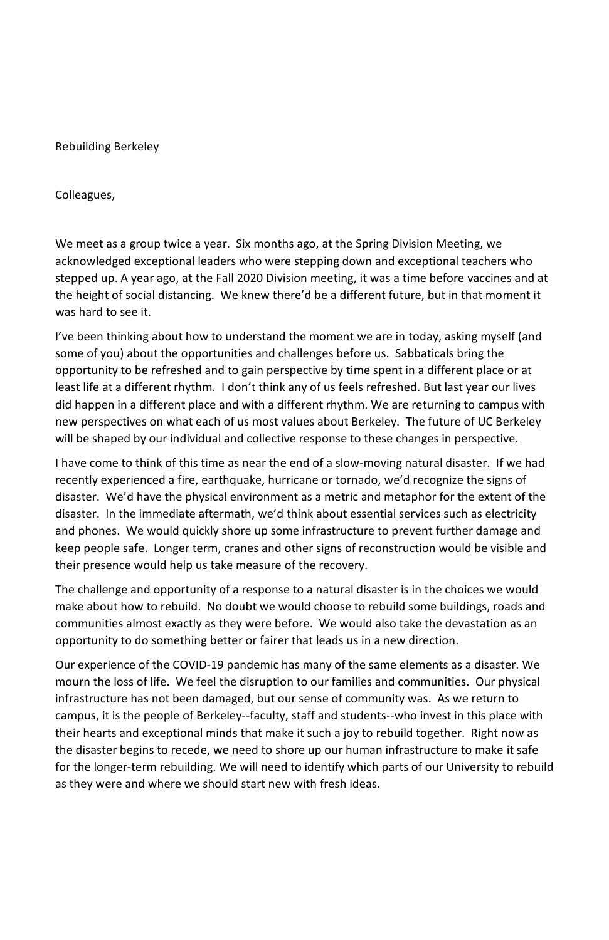Rebuilding Berkeley

Colleagues,

We meet as a group twice a year. Six months ago, at the Spring Division Meeting, we acknowledged exceptional leaders who were stepping down and exceptional teachers who stepped up. A year ago, at the Fall 2020 Division meeting, it was a time before vaccines and at the height of social distancing. We knew there'd be a different future, but in that moment it was hard to see it.

I've been thinking about how to understand the moment we are in today, asking myself (and some of you) about the opportunities and challenges before us. Sabbaticals bring the opportunity to be refreshed and to gain perspective by time spent in a different place or at least life at a different rhythm. I don't think any of us feels refreshed. But last year our lives did happen in a different place and with a different rhythm. We are returning to campus with new perspectives on what each of us most values about Berkeley. The future of UC Berkeley will be shaped by our individual and collective response to these changes in perspective.

I have come to think of this time as near the end of a slow-moving natural disaster. If we had recently experienced a fire, earthquake, hurricane or tornado, we'd recognize the signs of disaster. We'd have the physical environment as a metric and metaphor for the extent of the disaster. In the immediate aftermath, we'd think about essential services such as electricity and phones. We would quickly shore up some infrastructure to prevent further damage and keep people safe. Longer term, cranes and other signs of reconstruction would be visible and their presence would help us take measure of the recovery.

The challenge and opportunity of a response to a natural disaster is in the choices we would make about how to rebuild. No doubt we would choose to rebuild some buildings, roads and communities almost exactly as they were before. We would also take the devastation as an opportunity to do something better or fairer that leads us in a new direction.

Our experience of the COVID-19 pandemic has many of the same elements as a disaster. We mourn the loss of life. We feel the disruption to our families and communities. Our physical infrastructure has not been damaged, but our sense of community was. As we return to campus, it is the people of Berkeley--faculty, staff and students--who invest in this place with their hearts and exceptional minds that make it such a joy to rebuild together. Right now as the disaster begins to recede, we need to shore up our human infrastructure to make it safe for the longer-term rebuilding. We will need to identify which parts of our University to rebuild as they were and where we should start new with fresh ideas.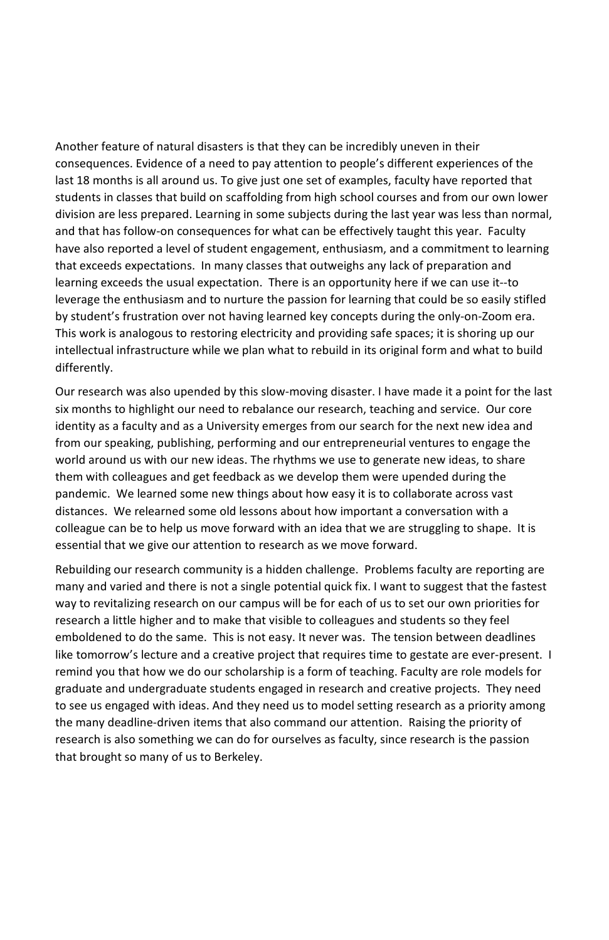Another feature of natural disasters is that they can be incredibly uneven in their consequences. Evidence of a need to pay attention to people's different experiences of the last 18 months is all around us. To give just one set of examples, faculty have reported that students in classes that build on scaffolding from high school courses and from our own lower division are less prepared. Learning in some subjects during the last year was less than normal, and that has follow-on consequences for what can be effectively taught this year. Faculty have also reported a level of student engagement, enthusiasm, and a commitment to learning that exceeds expectations. In many classes that outweighs any lack of preparation and learning exceeds the usual expectation. There is an opportunity here if we can use it--to leverage the enthusiasm and to nurture the passion for learning that could be so easily stifled by student's frustration over not having learned key concepts during the only-on-Zoom era. This work is analogous to restoring electricity and providing safe spaces; it is shoring up our intellectual infrastructure while we plan what to rebuild in its original form and what to build differently.

Our research was also upended by this slow-moving disaster. I have made it a point for the last six months to highlight our need to rebalance our research, teaching and service. Our core identity as a faculty and as a University emerges from our search for the next new idea and from our speaking, publishing, performing and our entrepreneurial ventures to engage the world around us with our new ideas. The rhythms we use to generate new ideas, to share them with colleagues and get feedback as we develop them were upended during the pandemic. We learned some new things about how easy it is to collaborate across vast distances. We relearned some old lessons about how important a conversation with a colleague can be to help us move forward with an idea that we are struggling to shape. It is essential that we give our attention to research as we move forward.

Rebuilding our research community is a hidden challenge. Problems faculty are reporting are many and varied and there is not a single potential quick fix. I want to suggest that the fastest way to revitalizing research on our campus will be for each of us to set our own priorities for research a little higher and to make that visible to colleagues and students so they feel emboldened to do the same. This is not easy. It never was. The tension between deadlines like tomorrow's lecture and a creative project that requires time to gestate are ever-present. I remind you that how we do our scholarship is a form of teaching. Faculty are role models for graduate and undergraduate students engaged in research and creative projects. They need to see us engaged with ideas. And they need us to model setting research as a priority among the many deadline-driven items that also command our attention. Raising the priority of research is also something we can do for ourselves as faculty, since research is the passion that brought so many of us to Berkeley.